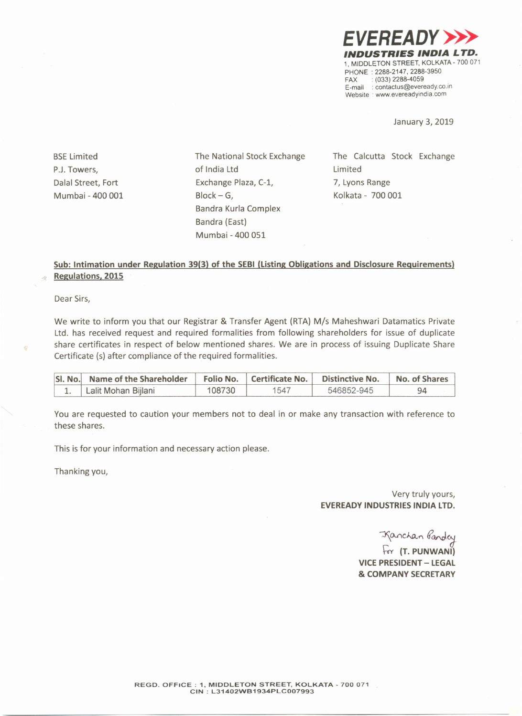*EVEREADY»> INDUSTRIES INDIA LTD.* 1, MIDDLETON STREET, KOLKATA-700 071 PHONE: 2288-2147, 2288-3950<br>FAX: : (033) 2288-4059  $(033)$  2288-4059 E-mail: contactus@eveready.co.in Website : www.evereadvindia.com

January 3, 2019

**BSE Limited** P.J.Towers, Dalal Street, Fort Mumbai - 400 001 The National Stock Exchange of India Ltd Exchange Plaza, C-1, Block- G, Bandra Kurla Complex Bandra (East) Mumbai - 400 051

The Calcutta Stock Exchange Limited 7, Lyons Range Kolkata - 700 001

## **Sub: Intimation under Regulation 39(3) of the SEBI (Listing Obligations and Disclosure Requirements) Regulations. 2015**

Dear Sirs,

We write to inform you that our Registrar & Transfer Agent (RTA) *Mis* Maheshwari Datamatics Private Ltd. has received request and required formalities from following shareholders for issue of duplicate share certificates in respect of below mentioned shares. We are in process of issuing Duplicate Share Certificate (s) after compliance of the required formalities.

| SI. No. Name of the Shareholder   Folio No.   Certificate No. |        |      | <b>Distinctive No.</b> | No. of Shares |
|---------------------------------------------------------------|--------|------|------------------------|---------------|
| Lalit Mohan Bijlani                                           | 108730 | 1547 | 546852-945             |               |

You are requested to caution your members not to deal in or make any transaction with reference to these shares.

This is for your information and necessary action please.

Thanking you,

Very truly yours, **EVEREADY INDUSTRIES INDIA LTD.**

-Kanchan Gandey

**~ (T. PUNWANI) VICE PRESIDENT-LEGAL & COMPANY SECRETARY**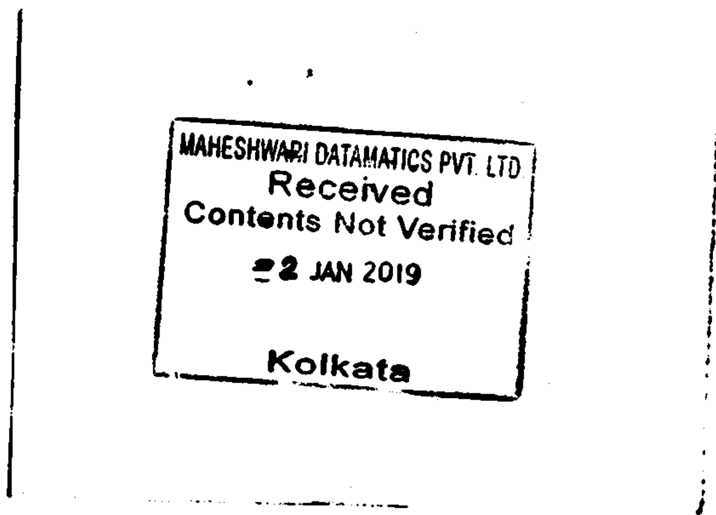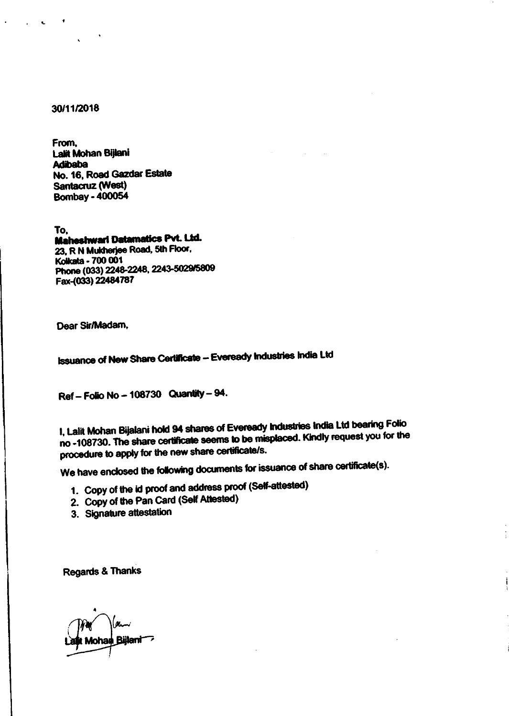## 30/11/2018

From, Lalit Mohan Bijlani **Adibaba** No. 16, Road Gazdar Estate Santacruz (West) **Bombay - 400054** 

To. **Maheshwari Datamatics Pvt. Ltd.** 23, R N Mukherjee Road, 5th Floor, Kolkata - 700 001 Phone (033) 2248-2248, 2243-5029/5809 Fax-(033) 22484787

Dear Sir/Madam.

**Issuance of New Share Certificate - Eveready Industries India Ltd** 

Ref - Folio No - 108730 Quantity - 94.

I, Lalit Mohan Bijalani hold 94 shares of Eveready Industries India Ltd bearing Folio no -108730. The share certificate seems to be misplaced. Kindly request you for the procedure to apply for the new share certificate/s.

We have enclosed the following documents for issuance of share certificate(s).

- 1. Copy of the id proof and address proof (Self-attested)
- 2. Copy of the Pan Card (Self Attested)
- 3. Signature attestation

**Regards & Thanks** 

**Billani**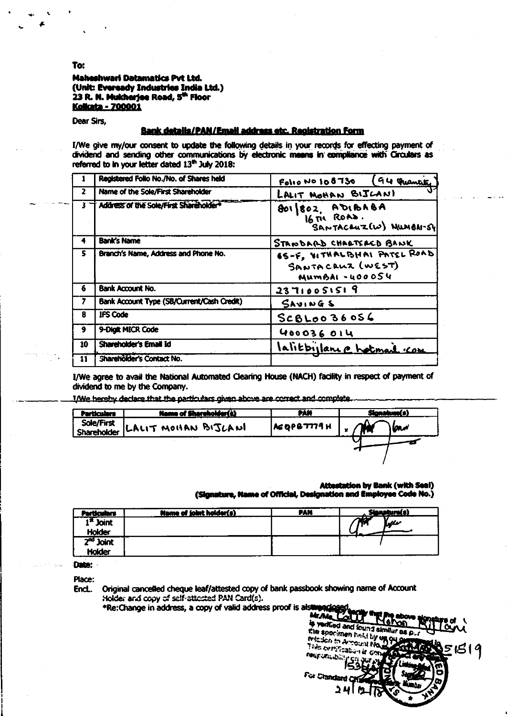Maheshwari Datamatics Pvt Ltd. (Unit: Eveready Industries India Ltd.) 23 R. N. Mukherjee Road, 5<sup>th</sup> Floor **Kolkata - 700001** 

Dear Sirs,

## **Bank details/PAN/Email address etc. Registration Form**

I/We give my/our consent to update the following details in your records for effecting payment of dividend and sending other communications by electronic means in compliance with Circulars as referred to in your letter dated 13th July 2018:

|                | Registered Folio No./No. of Shares held    | (94 Quantity<br>Folio No 108730                                   |  |  |
|----------------|--------------------------------------------|-------------------------------------------------------------------|--|--|
| $\overline{2}$ | Name of the Sole/First Shareholder         | LALIT MOHAN BIJCANI                                               |  |  |
|                | Address of the Sole/First Shareholder*     | BOI 802, ADIBABA<br>16 TH ROAD.<br>SANTACEUZIW) NILMBANSY         |  |  |
| 4              | <b>Bank's Name</b>                         | STANDARD CHARTSACD BANK                                           |  |  |
| s              | Branch's Name, Address and Phone No.       | 65-F, VITHALBHAI PATEL ROAD<br>SANTACRUZ (WEST)<br>MUMBAI -400054 |  |  |
| 6              | <b>Bank Account No.</b>                    | 23710051519                                                       |  |  |
| 7              | Bank Account Type (SB/Current/Cash Credit) | $S$ AVINGS                                                        |  |  |
| 8              | <b>IFS Code</b>                            | $SCB$ $Loo36056$                                                  |  |  |
| 9.             | 9-Digit MICR Code                          | 400036014                                                         |  |  |
| 10             | Shareholder's Email Id                     | lalitbillance hotmail com                                         |  |  |
| $11^{\circ}$   | <b>Shareholder's Contact No.</b>           |                                                                   |  |  |

I/We agree to avail the National Automated Clearing House (NACH) facility in respect of payment of dividend to me by the Company.

I/We hereby declare that the particulars given above are correct and complete.

| Particulars | Name of Shareholder(s)         | PAN        |  |     |
|-------------|--------------------------------|------------|--|-----|
|             | Sole/First LALIT MOHAN BIJLANI | AEQPB7779H |  | سما |
|             |                                |            |  |     |

**Attestation by Bank (with Seal)** (Signature, Name of Official, Designation and Employee Code No.)

| rticulars             | Name of joint holder(s) | <u>PAN</u> |    |
|-----------------------|-------------------------|------------|----|
| l <sup>st</sup> Joint |                         |            | ww |
| <b>Holder</b>         |                         |            |    |
| $2nd$ Joint           |                         |            |    |
| <b>Holder</b>         |                         |            |    |

Date:

Place:

Original cancelled cheque leaf/attested copy of bank passbook showing name of Account End. Holder and copy of self-attected PAN Card(s).

\*Re: Change in address, a copy of valid address proof is also mac



To: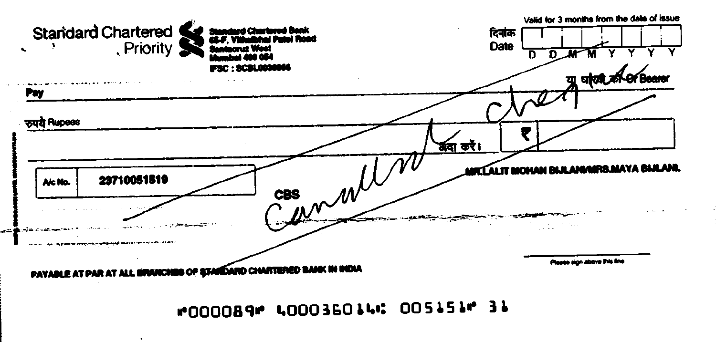

 $\ddot{\phantom{1}}$